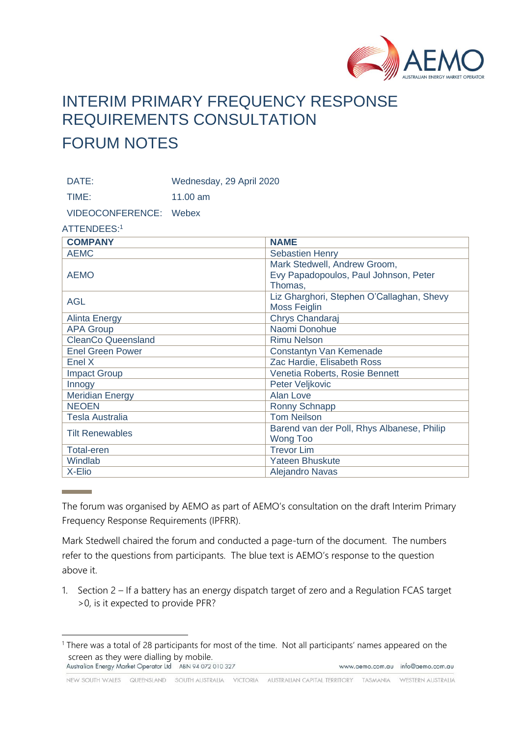

## INTERIM PRIMARY FREQUENCY RESPONSE REQUIREMENTS CONSULTATION FORUM NOTES

DATE: Wednesday, 29 April 2020

TIME: 11.00 am

VIDEOCONFERENCE: Webex

ATTENDEES:<sup>1</sup>

| <b>COMPANY</b>            | <b>NAME</b>                                      |
|---------------------------|--------------------------------------------------|
| <b>AEMC</b>               | <b>Sebastien Henry</b>                           |
| <b>AEMO</b>               | Mark Stedwell, Andrew Groom,                     |
|                           | Evy Papadopoulos, Paul Johnson, Peter<br>Thomas, |
| <b>AGL</b>                | Liz Gharghori, Stephen O'Callaghan, Shevy        |
|                           | <b>Moss Feiglin</b>                              |
| <b>Alinta Energy</b>      | Chrys Chandaraj                                  |
| <b>APA Group</b>          | Naomi Donohue                                    |
| <b>CleanCo Queensland</b> | <b>Rimu Nelson</b>                               |
| <b>Enel Green Power</b>   | Constantyn Van Kemenade                          |
| Enel X                    | Zac Hardie, Elisabeth Ross                       |
| <b>Impact Group</b>       | Venetia Roberts, Rosie Bennett                   |
| Innogy                    | Peter Veljkovic                                  |
| <b>Meridian Energy</b>    | Alan Love                                        |
| <b>NEOEN</b>              | Ronny Schnapp                                    |
| <b>Tesla Australia</b>    | <b>Tom Neilson</b>                               |
| <b>Tilt Renewables</b>    | Barend van der Poll, Rhys Albanese, Philip       |
|                           | <b>Wong Too</b>                                  |
| <b>Total-eren</b>         | <b>Trevor Lim</b>                                |
| Windlab                   | <b>Yateen Bhuskute</b>                           |
| X-Elio                    | <b>Alejandro Navas</b>                           |

The forum was organised by AEMO as part of AEMO's consultation on the draft Interim Primary Frequency Response Requirements (IPFRR).

Mark Stedwell chaired the forum and conducted a page-turn of the document. The numbers refer to the questions from participants. The blue text is AEMO's response to the question above it.

1. Section 2 – If a battery has an energy dispatch target of zero and a Regulation FCAS target >0, is it expected to provide PFR?

NEW SOUTH WALES QUEENSLAND SOUTH AUSTRALIA VICTORIA AUSTRALIAN CAPITAL TERRITORY TASMANIA WESTERN AUSTRALIA

<sup>&</sup>lt;sup>1</sup> There was a total of 28 participants for most of the time. Not all participants' names appeared on the screen as they were dialling by mobile.<br>Australian Energy Market Operator Ltd ABN 94 072 010 327 www.aemo.com.au info@aemo.com.au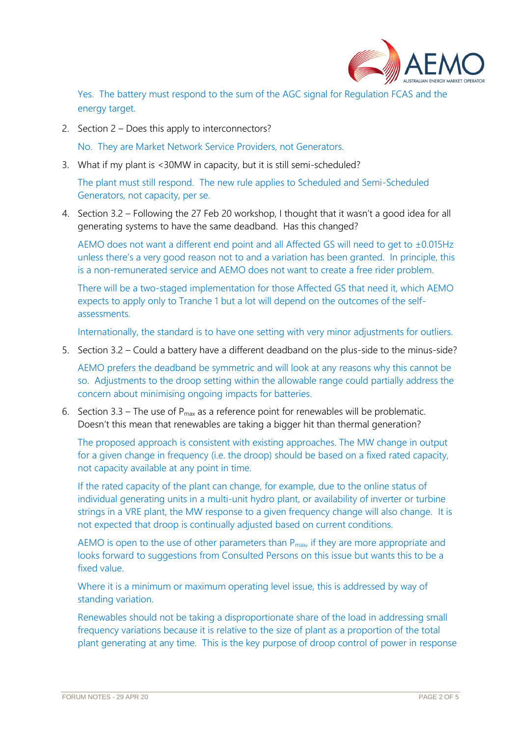

Yes. The battery must respond to the sum of the AGC signal for Regulation FCAS and the energy target.

2. Section 2 – Does this apply to interconnectors?

No. They are Market Network Service Providers, not Generators.

3. What if my plant is <30MW in capacity, but it is still semi-scheduled?

The plant must still respond. The new rule applies to Scheduled and Semi-Scheduled Generators, not capacity, per se.

4. Section 3.2 – Following the 27 Feb 20 workshop, I thought that it wasn't a good idea for all generating systems to have the same deadband. Has this changed?

AEMO does not want a different end point and all Affected GS will need to get to ±0.015Hz unless there's a very good reason not to and a variation has been granted. In principle, this is a non-remunerated service and AEMO does not want to create a free rider problem.

There will be a two-staged implementation for those Affected GS that need it, which AEMO expects to apply only to Tranche 1 but a lot will depend on the outcomes of the selfassessments.

Internationally, the standard is to have one setting with very minor adjustments for outliers.

5. Section 3.2 – Could a battery have a different deadband on the plus-side to the minus-side?

AEMO prefers the deadband be symmetric and will look at any reasons why this cannot be so. Adjustments to the droop setting within the allowable range could partially address the concern about minimising ongoing impacts for batteries.

6. Section 3.3 – The use of  $P_{max}$  as a reference point for renewables will be problematic. Doesn't this mean that renewables are taking a bigger hit than thermal generation?

The proposed approach is consistent with existing approaches. The MW change in output for a given change in frequency (i.e. the droop) should be based on a fixed rated capacity, not capacity available at any point in time.

If the rated capacity of the plant can change, for example, due to the online status of individual generating units in a multi-unit hydro plant, or availability of inverter or turbine strings in a VRE plant, the MW response to a given frequency change will also change. It is not expected that droop is continually adjusted based on current conditions.

AEMO is open to the use of other parameters than  $P_{\text{max}}$ , if they are more appropriate and looks forward to suggestions from Consulted Persons on this issue but wants this to be a fixed value.

Where it is a minimum or maximum operating level issue, this is addressed by way of standing variation.

Renewables should not be taking a disproportionate share of the load in addressing small frequency variations because it is relative to the size of plant as a proportion of the total plant generating at any time. This is the key purpose of droop control of power in response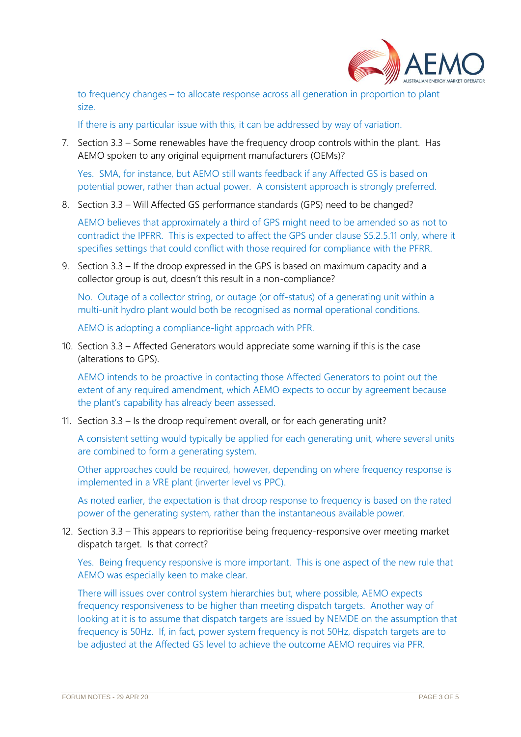

to frequency changes – to allocate response across all generation in proportion to plant size.

If there is any particular issue with this, it can be addressed by way of variation.

7. Section 3.3 – Some renewables have the frequency droop controls within the plant. Has AEMO spoken to any original equipment manufacturers (OEMs)?

Yes. SMA, for instance, but AEMO still wants feedback if any Affected GS is based on potential power, rather than actual power. A consistent approach is strongly preferred.

8. Section 3.3 – Will Affected GS performance standards (GPS) need to be changed?

AEMO believes that approximately a third of GPS might need to be amended so as not to contradict the IPFRR. This is expected to affect the GPS under clause S5.2.5.11 only, where it specifies settings that could conflict with those required for compliance with the PFRR.

9. Section 3.3 – If the droop expressed in the GPS is based on maximum capacity and a collector group is out, doesn't this result in a non-compliance?

No. Outage of a collector string, or outage (or off-status) of a generating unit within a multi-unit hydro plant would both be recognised as normal operational conditions.

AEMO is adopting a compliance-light approach with PFR.

10. Section 3.3 – Affected Generators would appreciate some warning if this is the case (alterations to GPS).

AEMO intends to be proactive in contacting those Affected Generators to point out the extent of any required amendment, which AEMO expects to occur by agreement because the plant's capability has already been assessed.

11. Section 3.3 – Is the droop requirement overall, or for each generating unit?

A consistent setting would typically be applied for each generating unit, where several units are combined to form a generating system.

Other approaches could be required, however, depending on where frequency response is implemented in a VRE plant (inverter level vs PPC).

As noted earlier, the expectation is that droop response to frequency is based on the rated power of the generating system, rather than the instantaneous available power.

12. Section 3.3 – This appears to reprioritise being frequency-responsive over meeting market dispatch target. Is that correct?

Yes. Being frequency responsive is more important. This is one aspect of the new rule that AEMO was especially keen to make clear.

There will issues over control system hierarchies but, where possible, AEMO expects frequency responsiveness to be higher than meeting dispatch targets. Another way of looking at it is to assume that dispatch targets are issued by NEMDE on the assumption that frequency is 50Hz. If, in fact, power system frequency is not 50Hz, dispatch targets are to be adjusted at the Affected GS level to achieve the outcome AEMO requires via PFR.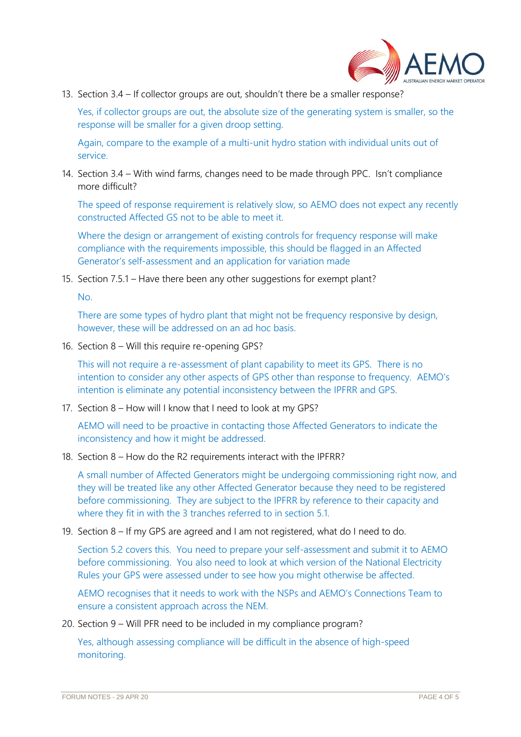

13. Section 3.4 – If collector groups are out, shouldn't there be a smaller response?

Yes, if collector groups are out, the absolute size of the generating system is smaller, so the response will be smaller for a given droop setting.

Again, compare to the example of a multi-unit hydro station with individual units out of service.

14. Section 3.4 – With wind farms, changes need to be made through PPC. Isn't compliance more difficult?

The speed of response requirement is relatively slow, so AEMO does not expect any recently constructed Affected GS not to be able to meet it.

Where the design or arrangement of existing controls for frequency response will make compliance with the requirements impossible, this should be flagged in an Affected Generator's self-assessment and an application for variation made

15. Section 7.5.1 – Have there been any other suggestions for exempt plant?

No.

There are some types of hydro plant that might not be frequency responsive by design, however, these will be addressed on an ad hoc basis.

16. Section 8 – Will this require re-opening GPS?

This will not require a re-assessment of plant capability to meet its GPS. There is no intention to consider any other aspects of GPS other than response to frequency. AEMO's intention is eliminate any potential inconsistency between the IPFRR and GPS.

17. Section 8 – How will I know that I need to look at my GPS?

AEMO will need to be proactive in contacting those Affected Generators to indicate the inconsistency and how it might be addressed.

18. Section 8 – How do the R2 requirements interact with the IPFRR?

A small number of Affected Generators might be undergoing commissioning right now, and they will be treated like any other Affected Generator because they need to be registered before commissioning. They are subject to the IPFRR by reference to their capacity and where they fit in with the 3 tranches referred to in section 5.1.

19. Section 8 – If my GPS are agreed and I am not registered, what do I need to do.

Section 5.2 covers this. You need to prepare your self-assessment and submit it to AEMO before commissioning. You also need to look at which version of the National Electricity Rules your GPS were assessed under to see how you might otherwise be affected.

AEMO recognises that it needs to work with the NSPs and AEMO's Connections Team to ensure a consistent approach across the NEM.

20. Section 9 – Will PFR need to be included in my compliance program?

Yes, although assessing compliance will be difficult in the absence of high-speed monitoring.